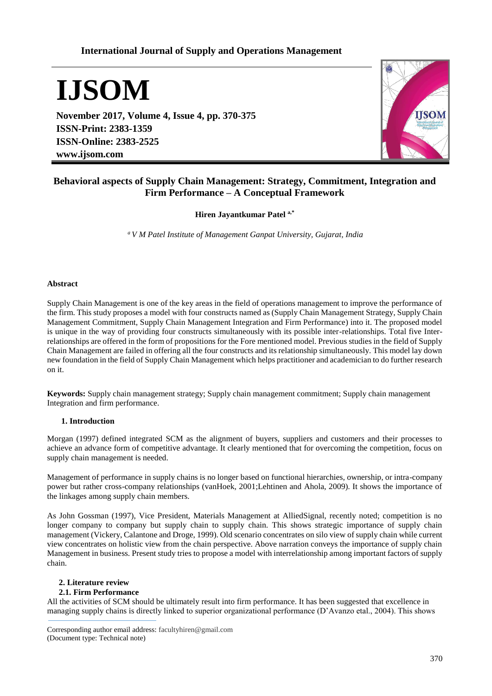# **International Journal of Supply and Operations Management**

# **IJSOM**

**November 2017, Volume 4, Issue 4, pp. 370-375 ISSN-Print: 2383-1359 ISSN-Online: 2383-2525 www.ijsom.com**



# **Behavioral aspects of Supply Chain Management: Strategy, Commitment, Integration and Firm Performance – A Conceptual Framework**

**Hiren Jayantkumar Patel a,\***

*<sup>a</sup>V M Patel Institute of Management Ganpat University, Gujarat, India*

#### **Abstract**

Supply Chain Management is one of the key areas in the field of operations management to improve the performance of the firm. This study proposes a model with four constructs named as (Supply Chain Management Strategy, Supply Chain Management Commitment, Supply Chain Management Integration and Firm Performance) into it. The proposed model is unique in the way of providing four constructs simultaneously with its possible inter-relationships. Total five Interrelationships are offered in the form of propositions for the Fore mentioned model. Previous studies in the field of Supply Chain Management are failed in offering all the four constructs and its relationship simultaneously. This model lay down new foundation in the field of Supply Chain Management which helps practitioner and academician to do further research on it.

**Keywords:** Supply chain management strategy; Supply chain management commitment; Supply chain management Integration and firm performance.

# **1. Introduction**

Morgan (1997) defined integrated SCM as the alignment of buyers, suppliers and customers and their processes to achieve an advance form of competitive advantage. It clearly mentioned that for overcoming the competition, focus on supply chain management is needed.

Management of performance in supply chains is no longer based on functional hierarchies, ownership, or intra-company power but rather cross-company relationships (vanHoek, 2001;Lehtinen and Ahola, 2009). It shows the importance of the linkages among supply chain members.

As John Gossman (1997), Vice President, Materials Management at AlliedSignal, recently noted; competition is no longer company to company but supply chain to supply chain. This shows strategic importance of supply chain management (Vickery, Calantone and Droge, 1999). Old scenario concentrates on silo view of supply chain while current view concentrates on holistic view from the chain perspective. Above narration conveys the importance of supply chain Management in business. Present study tries to propose a model with interrelationship among important factors of supply chain.

# **2. Literature review**

# **2.1. Firm Performance**

All the activities of SCM should be ultimately result into firm performance. It has been suggested that excellence in managing supply chains is directly linked to superior organizational performance (D'Avanzo etal., 2004). This shows

Corresponding author email address: facultyhiren@gmail.com (Document type: Technical note)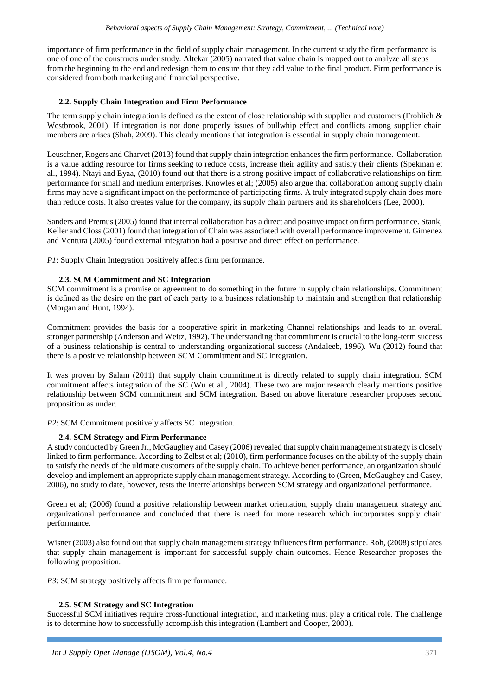importance of firm performance in the field of supply chain management. In the current study the firm performance is one of one of the constructs under study. Altekar (2005) narrated that value chain is mapped out to analyze all steps from the beginning to the end and redesign them to ensure that they add value to the final product. Firm performance is considered from both marketing and financial perspective.

# **2.2. Supply Chain Integration and Firm Performance**

The term supply chain integration is defined as the extent of close relationship with supplier and customers (Frohlich  $\&$ Westbrook, 2001). If integration is not done properly issues of bullwhip effect and conflicts among supplier chain members are arises (Shah, 2009). This clearly mentions that integration is essential in supply chain management.

Leuschner, Rogers and Charvet (2013) found that supply chain integration enhances the firm performance. Collaboration is a value adding resource for firms seeking to reduce costs, increase their agility and satisfy their clients (Spekman et al., 1994). Ntayi and Eyaa, (2010) found out that there is a strong positive impact of collaborative relationships on firm performance for small and medium enterprises. Knowles et al; (2005) also argue that collaboration among supply chain firms may have a significant impact on the performance of participating firms. A truly integrated supply chain does more than reduce costs. It also creates value for the company, its supply chain partners and its shareholders (Lee, 2000).

Sanders and Premus (2005) found that internal collaboration has a direct and positive impact on firm performance. Stank, Keller and Closs (2001) found that integration of Chain was associated with overall performance improvement. Gimenez and Ventura (2005) found external integration had a positive and direct effect on performance.

*P1*: Supply Chain Integration positively affects firm performance.

# **2.3. SCM Commitment and SC Integration**

SCM commitment is a promise or agreement to do something in the future in supply chain relationships. Commitment is defined as the desire on the part of each party to a business relationship to maintain and strengthen that relationship (Morgan and Hunt, 1994).

Commitment provides the basis for a cooperative spirit in marketing Channel relationships and leads to an overall stronger partnership (Anderson and Weitz, 1992). The understanding that commitment is crucial to the long-term success of a business relationship is central to understanding organizational success (Andaleeb, 1996). Wu (2012) found that there is a positive relationship between SCM Commitment and SC Integration.

It was proven by Salam (2011) that supply chain commitment is directly related to supply chain integration. SCM commitment affects integration of the SC (Wu et al., 2004). These two are major research clearly mentions positive relationship between SCM commitment and SCM integration. Based on above literature researcher proposes second proposition as under.

*P2*: SCM Commitment positively affects SC Integration.

# **2.4. SCM Strategy and Firm Performance**

A study conducted by Green Jr., McGaughey and Casey (2006) revealed that supply chain management strategy is closely linked to firm performance. According to Zelbst et al; (2010), firm performance focuses on the ability of the supply chain to satisfy the needs of the ultimate customers of the supply chain. To achieve better performance, an organization should develop and implement an appropriate supply chain management strategy. According to (Green, McGaughey and Casey, 2006), no study to date, however, tests the interrelationships between SCM strategy and organizational performance.

Green et al; (2006) found a positive relationship between market orientation, supply chain management strategy and organizational performance and concluded that there is need for more research which incorporates supply chain performance.

Wisner (2003) also found out that supply chain management strategy influences firm performance. Roh, (2008) stipulates that supply chain management is important for successful supply chain outcomes. Hence Researcher proposes the following proposition.

*P3*: SCM strategy positively affects firm performance.

# **2.5. SCM Strategy and SC Integration**

Successful SCM initiatives require cross-functional integration, and marketing must play a critical role. The challenge is to determine how to successfully accomplish this integration (Lambert and Cooper, 2000).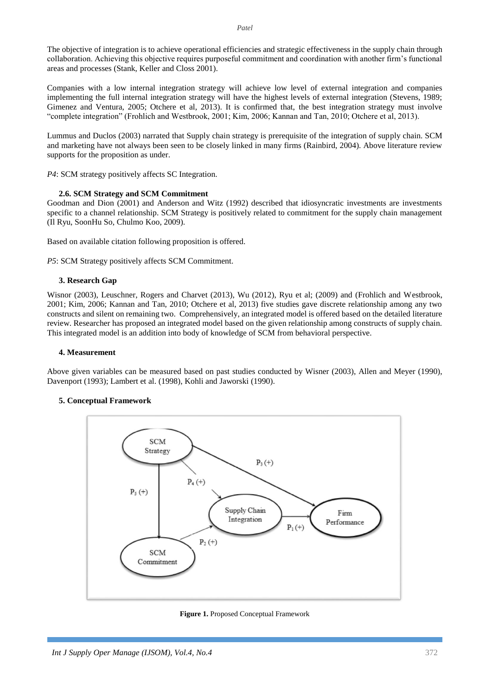The objective of integration is to achieve operational efficiencies and strategic effectiveness in the supply chain through collaboration. Achieving this objective requires purposeful commitment and coordination with another firm's functional areas and processes (Stank, Keller and Closs 2001).

Companies with a low internal integration strategy will achieve low level of external integration and companies implementing the full internal integration strategy will have the highest levels of external integration (Stevens, 1989; Gimenez and Ventura, 2005; Otchere et al, 2013). It is confirmed that, the best integration strategy must involve "complete integration" (Frohlich and Westbrook, 2001; Kim, 2006; Kannan and Tan, 2010; Otchere et al, 2013).

Lummus and Duclos (2003) narrated that Supply chain strategy is prerequisite of the integration of supply chain. SCM and marketing have not always been seen to be closely linked in many firms (Rainbird, 2004). Above literature review supports for the proposition as under.

*P4*: SCM strategy positively affects SC Integration.

# **2.6. SCM Strategy and SCM Commitment**

Goodman and Dion (2001) and Anderson and Witz (1992) described that idiosyncratic investments are investments specific to a channel relationship. SCM Strategy is positively related to commitment for the supply chain management (Il Ryu, SoonHu So, Chulmo Koo, 2009).

Based on available citation following proposition is offered.

*P5*: SCM Strategy positively affects SCM Commitment.

# **3. Research Gap**

Wisnor (2003), Leuschner, Rogers and Charvet (2013), Wu (2012), Ryu et al; (2009) and (Frohlich and Westbrook, 2001; Kim, 2006; Kannan and Tan, 2010; Otchere et al, 2013) five studies gave discrete relationship among any two constructs and silent on remaining two. Comprehensively, an integrated model is offered based on the detailed literature review. Researcher has proposed an integrated model based on the given relationship among constructs of supply chain. This integrated model is an addition into body of knowledge of SCM from behavioral perspective.

#### **4. Measurement**

Above given variables can be measured based on past studies conducted by Wisner (2003), Allen and Meyer (1990), Davenport (1993); Lambert et al. (1998), Kohli and Jaworski (1990).

# **5. Conceptual Framework**



**Figure 1.** Proposed Conceptual Framework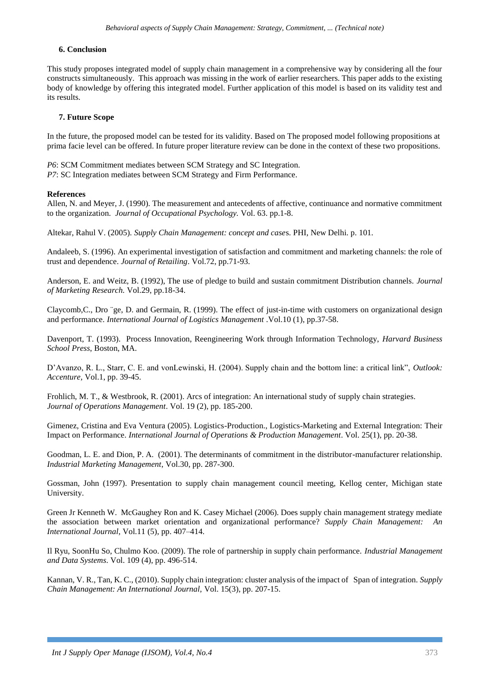#### **6. Conclusion**

This study proposes integrated model of supply chain management in a comprehensive way by considering all the four constructs simultaneously. This approach was missing in the work of earlier researchers. This paper adds to the existing body of knowledge by offering this integrated model. Further application of this model is based on its validity test and its results.

#### **7. Future Scope**

In the future, the proposed model can be tested for its validity. Based on The proposed model following propositions at prima facie level can be offered. In future proper literature review can be done in the context of these two propositions.

*P6*: SCM Commitment mediates between SCM Strategy and SC Integration. *P7*: SC Integration mediates between SCM Strategy and Firm Performance.

#### **References**

Allen, N. and Meyer, J. (1990). The measurement and antecedents of affective, continuance and normative commitment to the organization. *Journal of Occupational Psychology.* Vol. 63. pp.1-8.

Altekar, Rahul V. (2005). *Supply Chain Management: concept and case*s. PHI, New Delhi. p. 101.

Andaleeb, S. (1996). An experimental investigation of satisfaction and commitment and marketing channels: the role of trust and dependence. *Journal of Retailing*. Vol.72, pp.71-93.

Anderson, E. and Weitz, B. (1992), The use of pledge to build and sustain commitment Distribution channels. *Journal of Marketing Research.* Vol.29, pp.18-34.

Claycomb,C., Dro ¨ge, D. and Germain, R. (1999). The effect of just-in-time with customers on organizational design and performance. *International Journal of Logistics Management* .Vol.10 (1), pp.37-58.

Davenport, T. (1993). Process Innovation, Reengineering Work through Information Technology, *Harvard Business School Press*, Boston, MA.

D'Avanzo, R. L., Starr, C. E. and vonLewinski, H. (2004). Supply chain and the bottom line: a critical link", *Outlook: Accenture,* Vol.1, pp. 39-45.

Frohlich, M. T., & Westbrook, R. (2001). Arcs of integration: An international study of supply chain strategies. *Journal of Operations Management*. Vol. 19 (2), pp. 185-200.

Gimenez, Cristina and Eva Ventura (2005). Logistics-Production., Logistics-Marketing and External Integration: Their Impact on Performance. *International Journal of Operations & Production Management*. Vol. 25(1), pp. 20-38.

Goodman, L. E. and Dion, P. A. (2001). The determinants of commitment in the distributor-manufacturer relationship. *Industrial Marketing Management*, Vol.30, pp. 287-300.

Gossman, John (1997). Presentation to supply chain management council meeting, Kellog center, Michigan state University.

Green Jr Kenneth W. McGaughey Ron and K. Casey Michael (2006). Does supply chain management strategy mediate the association between market orientation and organizational performance? *Supply Chain Management: An International Journal*, Vol.11 (5), pp. 407–414.

Il Ryu, SoonHu So, Chulmo Koo. (2009). The role of partnership in supply chain performance. *Industrial Management and Data Systems*. Vol. 109 (4), pp. 496-514.

Kannan, V. R., Tan, K. C., (2010). Supply chain integration: cluster analysis of the impact of Span of integration. *Supply Chain Management: An International Journal,* Vol. 15(3), pp. 207-15.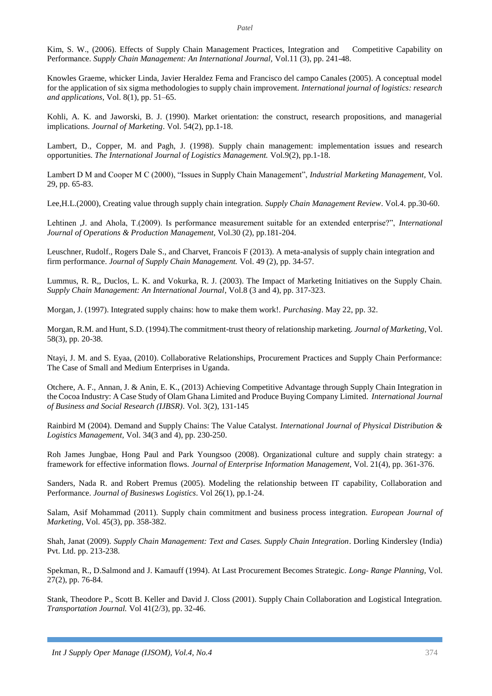Kim, S. W., (2006). Effects of Supply Chain Management Practices, Integration and Competitive Capability on Performance. *Supply Chain Management: An International Journal,* Vol.11 (3), pp. 241-48.

Knowles Graeme, whicker Linda, Javier Heraldez Fema and Francisco del campo Canales (2005). A conceptual model for the application of six sigma methodologies to supply chain improvement. *International journal of logistics: research and applications,* Vol. 8(1), pp. 51–65.

Kohli, A. K. and Jaworski, B. J. (1990). Market orientation: the construct, research propositions, and managerial implications. *Journal of Marketing*. Vol. 54(2), pp.1-18.

Lambert, D., Copper, M. and Pagh, J. (1998). Supply chain management: implementation issues and research opportunities. *The International Journal of Logistics Management.* Vol.9(2), pp.1-18.

Lambert D M and Cooper M C (2000), "Issues in Supply Chain Management", *Industrial Marketing Management,* Vol. 29, pp. 65-83.

Lee,H.L.(2000), Creating value through supply chain integration. *Supply Chain Management Review*. Vol.4. pp.30-60.

Lehtinen ,J. and Ahola, T.(2009). Is performance measurement suitable for an extended enterprise?", *International Journal of Operations & Production Management*, Vol.30 (2), pp.181-204.

Leuschner, Rudolf., Rogers Dale S., and Charvet, Francois F (2013). A meta-analysis of supply chain integration and firm performance. *Journal of Supply Chain Management.* Vol. 49 (2), pp. 34-57.

Lummus, R. R,, Duclos, L. K. and Vokurka, R. J. (2003). The Impact of Marketing Initiatives on the Supply Chain. *Supply Chain Management: An International Journal*, Vol.8 (3 and 4), pp. 317-323.

Morgan, J. (1997). Integrated supply chains: how to make them work!. *Purchasing*. May 22, pp. 32.

Morgan, R.M. and Hunt, S.D. (1994).The commitment-trust theory of relationship marketing. *Journal of Marketing*, Vol. 58(3), pp. 20-38.

Ntayi, J. M. and S. Eyaa, (2010). Collaborative Relationships, Procurement Practices and Supply Chain Performance: The Case of Small and Medium Enterprises in Uganda.

Otchere, A. F., Annan, J. & Anin, E. K., (2013) Achieving Competitive Advantage through Supply Chain Integration in the Cocoa Industry: A Case Study of Olam Ghana Limited and Produce Buying Company Limited. *International Journal of Business and Social Research (IJBSR)*. Vol. 3(2), 131-145

Rainbird M (2004). Demand and Supply Chains: The Value Catalyst. *International Journal of Physical Distribution & Logistics Management,* Vol. 34(3 and 4), pp. 230-250.

Roh James Jungbae, Hong Paul and Park Youngsoo (2008). Organizational culture and supply chain strategy: a framework for effective information flows. *Journal of Enterprise Information Management,* Vol. 21(4), pp. 361-376.

Sanders, Nada R. and Robert Premus (2005). Modeling the relationship between IT capability, Collaboration and Performance. *Journal of Businesws Logistics*. Vol 26(1), pp.1-24.

Salam, Asif Mohammad (2011). Supply chain commitment and business process integration. *European Journal of Marketing*, Vol. 45(3), pp. 358-382.

Shah, Janat (2009). *Supply Chain Management: Text and Cases. Supply Chain Integration*. Dorling Kindersley (India) Pvt. Ltd. pp. 213-238.

Spekman, R., D.Salmond and J. Kamauff (1994). At Last Procurement Becomes Strategic. *Long- Range Planning*, Vol. 27(2), pp. 76-84.

Stank, Theodore P., Scott B. Keller and David J. Closs (2001). Supply Chain Collaboration and Logistical Integration. *Transportation Journal.* Vol 41(2/3), pp. 32-46.